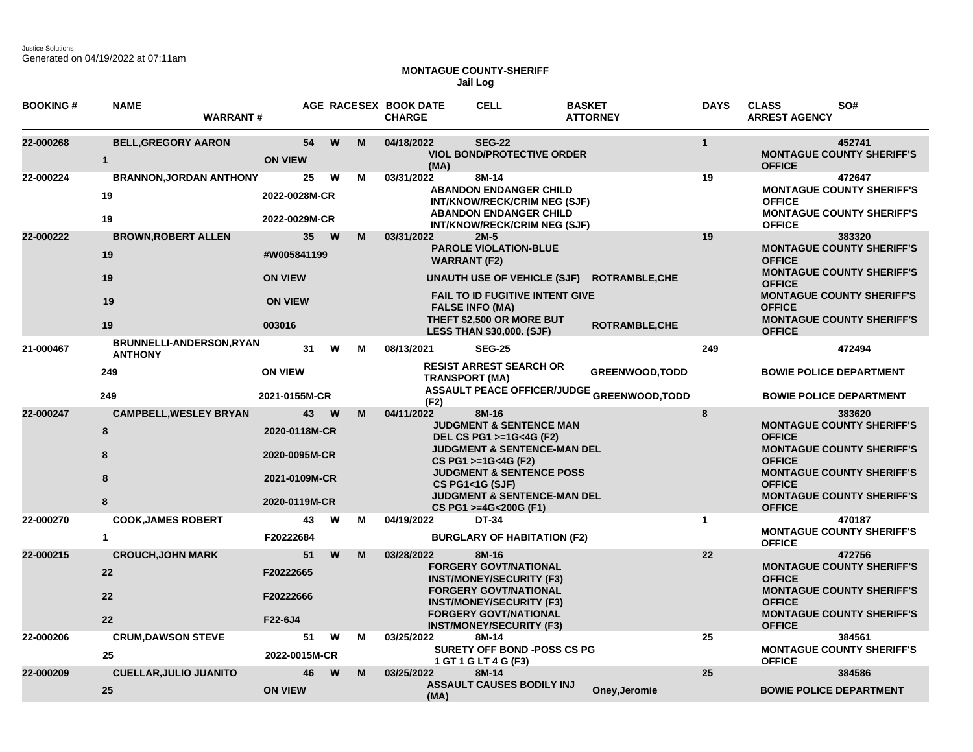## **MONTAGUE COUNTY-SHERIFF Jail Log**

| <b>BOOKING#</b> | <b>NAME</b><br><b>WARRANT#</b>                                 |                                                                        |        | AGE RACESEX BOOK DATE<br><b>CHARGE</b> | <b>CELL</b>                                                                                                                                                                                                                                                                    | <b>BASKET</b><br><b>ATTORNEY</b>                                                              | <b>DAYS</b>  | <b>CLASS</b><br>SO#<br><b>ARREST AGENCY</b>                                                                                                                                                                                |
|-----------------|----------------------------------------------------------------|------------------------------------------------------------------------|--------|----------------------------------------|--------------------------------------------------------------------------------------------------------------------------------------------------------------------------------------------------------------------------------------------------------------------------------|-----------------------------------------------------------------------------------------------|--------------|----------------------------------------------------------------------------------------------------------------------------------------------------------------------------------------------------------------------------|
| 22-000268       | <b>BELL, GREGORY AARON</b><br>$\mathbf{1}$                     | 54<br><b>ON VIEW</b>                                                   | W<br>M | 04/18/2022<br>(MA)                     | <b>SEG-22</b><br><b>VIOL BOND/PROTECTIVE ORDER</b>                                                                                                                                                                                                                             |                                                                                               | $\mathbf{1}$ | 452741<br><b>MONTAGUE COUNTY SHERIFF'S</b><br><b>OFFICE</b>                                                                                                                                                                |
| 22-000224       | <b>BRANNON, JORDAN ANTHONY</b><br>19<br>19                     | 25<br>2022-0028M-CR<br>2022-0029M-CR                                   | W<br>м | 03/31/2022                             | 8M-14<br><b>ABANDON ENDANGER CHILD</b><br>INT/KNOW/RECK/CRIM NEG (SJF)<br><b>ABANDON ENDANGER CHILD</b><br>INT/KNOW/RECK/CRIM NEG (SJF)                                                                                                                                        |                                                                                               | 19           | 472647<br><b>MONTAGUE COUNTY SHERIFF'S</b><br><b>OFFICE</b><br><b>MONTAGUE COUNTY SHERIFF'S</b><br><b>OFFICE</b>                                                                                                           |
| 22-000222       | <b>BROWN, ROBERT ALLEN</b><br>19<br>19<br>19                   | 35<br>#W005841199<br><b>ON VIEW</b><br><b>ON VIEW</b>                  | W<br>M | 03/31/2022                             | $2M-5$<br><b>PAROLE VIOLATION-BLUE</b><br><b>WARRANT (F2)</b><br>UNAUTH USE OF VEHICLE (SJF)<br>FAIL TO ID FUGITIVE INTENT GIVE<br><b>FALSE INFO (MA)</b><br>THEFT \$2,500 OR MORE BUT                                                                                         | <b>ROTRAMBLE, CHE</b>                                                                         | 19           | 383320<br><b>MONTAGUE COUNTY SHERIFF'S</b><br><b>OFFICE</b><br><b>MONTAGUE COUNTY SHERIFF'S</b><br><b>OFFICE</b><br><b>MONTAGUE COUNTY SHERIFF'S</b><br><b>OFFICE</b><br><b>MONTAGUE COUNTY SHERIFF'S</b>                  |
| 21-000467       | 19<br>BRUNNELLI-ANDERSON, RYAN<br><b>ANTHONY</b><br>249<br>249 | 003016<br>31<br><b>ON VIEW</b><br>2021-0155M-CR                        | W<br>м | 08/13/2021<br><b>TRANSPORT (MA)</b>    | <b>LESS THAN \$30,000. (SJF)</b><br><b>SEG-25</b><br><b>RESIST ARREST SEARCH OR</b>                                                                                                                                                                                            | ROTRAMBLE, CHE<br><b>GREENWOOD, TODD</b><br><b>ASSAULT PEACE OFFICER/JUDGE GREENWOOD,TODD</b> | 249          | <b>OFFICE</b><br>472494<br><b>BOWIE POLICE DEPARTMENT</b><br><b>BOWIE POLICE DEPARTMENT</b>                                                                                                                                |
| 22-000247       | <b>CAMPBELL, WESLEY BRYAN</b><br>8<br>8<br>8<br>8              | 43<br>2020-0118M-CR<br>2020-0095M-CR<br>2021-0109M-CR<br>2020-0119M-CR | W<br>M | (F2)<br>04/11/2022                     | 8M-16<br><b>JUDGMENT &amp; SENTENCE MAN</b><br>DEL CS PG1 >=1G<4G (F2)<br><b>JUDGMENT &amp; SENTENCE-MAN DEL</b><br>CS PG1 >=1G<4G (F2)<br><b>JUDGMENT &amp; SENTENCE POSS</b><br><b>CS PG1&lt;1G (SJF)</b><br><b>JUDGMENT &amp; SENTENCE-MAN DEL</b><br>CS PG1 >=4G<200G (F1) |                                                                                               | 8            | 383620<br><b>MONTAGUE COUNTY SHERIFF'S</b><br><b>OFFICE</b><br><b>MONTAGUE COUNTY SHERIFF'S</b><br><b>OFFICE</b><br><b>MONTAGUE COUNTY SHERIFF'S</b><br><b>OFFICE</b><br><b>MONTAGUE COUNTY SHERIFF'S</b><br><b>OFFICE</b> |
| 22-000270       | <b>COOK, JAMES ROBERT</b><br>$\blacktriangleleft$              | 43<br>F20222684                                                        | W<br>м | 04/19/2022                             | DT-34<br><b>BURGLARY OF HABITATION (F2)</b>                                                                                                                                                                                                                                    |                                                                                               | $\mathbf{1}$ | 470187<br><b>MONTAGUE COUNTY SHERIFF'S</b><br><b>OFFICE</b>                                                                                                                                                                |
| 22-000215       | <b>CROUCH, JOHN MARK</b><br>22<br>22<br>22                     | 51<br>F20222665<br>F20222666<br>F22-6J4                                | W<br>M | 03/28/2022                             | 8M-16<br><b>FORGERY GOVT/NATIONAL</b><br><b>INST/MONEY/SECURITY (F3)</b><br><b>FORGERY GOVT/NATIONAL</b><br><b>INST/MONEY/SECURITY (F3)</b><br><b>FORGERY GOVT/NATIONAL</b><br><b>INST/MONEY/SECURITY (F3)</b>                                                                 |                                                                                               | 22           | 472756<br><b>MONTAGUE COUNTY SHERIFF'S</b><br><b>OFFICE</b><br><b>MONTAGUE COUNTY SHERIFF'S</b><br><b>OFFICE</b><br><b>MONTAGUE COUNTY SHERIFF'S</b><br><b>OFFICE</b>                                                      |
| 22-000206       | <b>CRUM, DAWSON STEVE</b><br>25                                | 51<br>2022-0015M-CR                                                    | W<br>м | 03/25/2022                             | 8M-14<br><b>SURETY OFF BOND -POSS CS PG</b><br>1 GT 1 G LT 4 G (F3)                                                                                                                                                                                                            |                                                                                               | 25           | 384561<br><b>MONTAGUE COUNTY SHERIFF'S</b><br><b>OFFICE</b>                                                                                                                                                                |
| 22-000209       | <b>CUELLAR, JULIO JUANITO</b><br>25                            | 46<br><b>ON VIEW</b>                                                   | W<br>M | 03/25/2022<br>(MA)                     | 8M-14<br><b>ASSAULT CAUSES BODILY INJ</b>                                                                                                                                                                                                                                      | Oney, Jeromie                                                                                 | 25           | 384586<br><b>BOWIE POLICE DEPARTMENT</b>                                                                                                                                                                                   |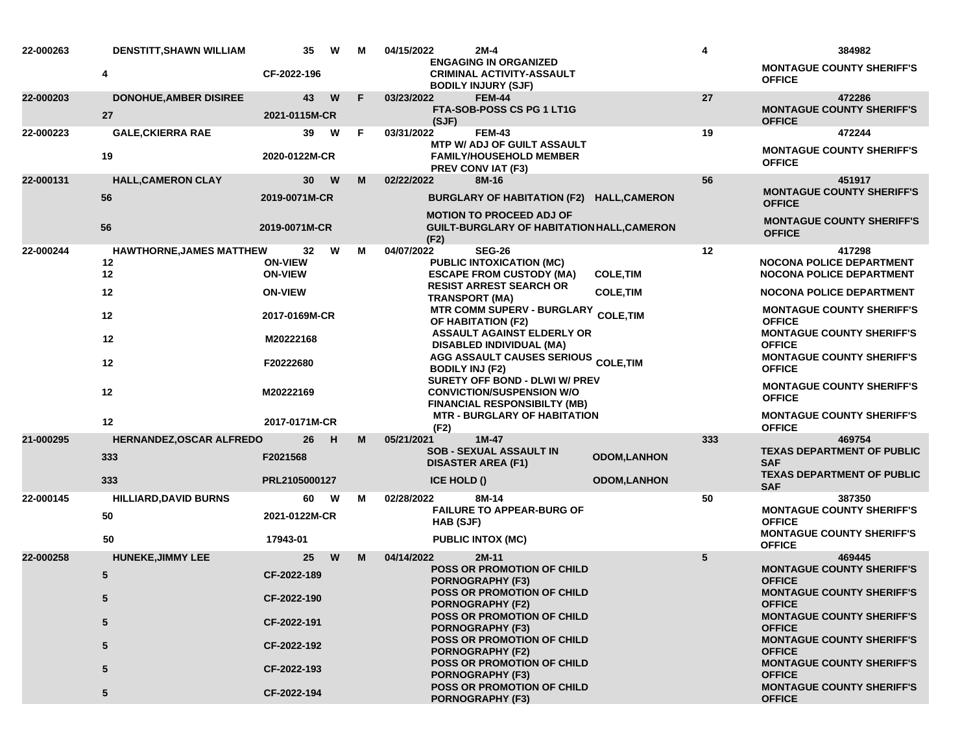| 22-000263 | <b>DENSTITT, SHAWN WILLIAM</b>        | 35                   | W | M  | 04/15/2022                                                 | $2M-4$                                                                                           |                    | 4   | 384982                                                                                |
|-----------|---------------------------------------|----------------------|---|----|------------------------------------------------------------|--------------------------------------------------------------------------------------------------|--------------------|-----|---------------------------------------------------------------------------------------|
|           | 4                                     | CF-2022-196          |   |    |                                                            | <b>ENGAGING IN ORGANIZED</b><br><b>CRIMINAL ACTIVITY-ASSAULT</b><br><b>BODILY INJURY (SJF)</b>   |                    |     | <b>MONTAGUE COUNTY SHERIFF'S</b><br><b>OFFICE</b>                                     |
| 22-000203 | <b>DONOHUE, AMBER DISIREE</b>         | 43                   | W | F. | 03/23/2022                                                 | <b>FEM-44</b>                                                                                    |                    | 27  | 472286                                                                                |
|           | 27                                    | 2021-0115M-CR        |   |    | (SJF)                                                      | FTA-SOB-POSS CS PG 1 LT1G                                                                        |                    |     | <b>MONTAGUE COUNTY SHERIFF'S</b><br><b>OFFICE</b>                                     |
| 22-000223 | <b>GALE, CKIERRA RAE</b>              | 39                   | W | -F | 03/31/2022                                                 | <b>FEM-43</b>                                                                                    |                    | 19  | 472244                                                                                |
|           | 19                                    | 2020-0122M-CR        |   |    |                                                            | <b>MTP W/ ADJ OF GUILT ASSAULT</b><br><b>FAMILY/HOUSEHOLD MEMBER</b><br><b>PREV CONVIAT (F3)</b> |                    |     | <b>MONTAGUE COUNTY SHERIFF'S</b><br><b>OFFICE</b>                                     |
| 22-000131 | <b>HALL, CAMERON CLAY</b>             | 30                   | W | М  | 02/22/2022                                                 | 8M-16                                                                                            |                    | 56  | 451917                                                                                |
|           | 56                                    | 2019-0071M-CR        |   |    |                                                            | BURGLARY OF HABITATION (F2) HALL, CAMERON<br><b>MOTION TO PROCEED ADJ OF</b>                     |                    |     | <b>MONTAGUE COUNTY SHERIFF'S</b><br><b>OFFICE</b>                                     |
|           | 56                                    | 2019-0071M-CR        |   |    | (F2)                                                       | <b>GUILT-BURGLARY OF HABITATION HALL, CAMERON</b>                                                |                    |     | <b>MONTAGUE COUNTY SHERIFF'S</b><br><b>OFFICE</b>                                     |
| 22-000244 | <b>HAWTHORNE, JAMES MATTHEW</b><br>12 | 32<br><b>ON-VIEW</b> | W | м  | 04/07/2022                                                 | <b>SEG-26</b><br><b>PUBLIC INTOXICATION (MC)</b>                                                 |                    | 12  | 417298<br><b>NOCONA POLICE DEPARTMENT</b>                                             |
|           | 12                                    | <b>ON-VIEW</b>       |   |    |                                                            | <b>ESCAPE FROM CUSTODY (MA)</b>                                                                  | <b>COLE, TIM</b>   |     | NOCONA POLICE DEPARTMENT                                                              |
|           | 12                                    | <b>ON-VIEW</b>       |   |    |                                                            | <b>RESIST ARREST SEARCH OR</b><br><b>TRANSPORT (MA)</b>                                          | <b>COLE, TIM</b>   |     | <b>NOCONA POLICE DEPARTMENT</b>                                                       |
|           | 12                                    | 2017-0169M-CR        |   |    | MTR COMM SUPERV - BURGLARY COLE, TIM<br>OF HABITATION (F2) |                                                                                                  |                    |     | <b>MONTAGUE COUNTY SHERIFF'S</b><br><b>OFFICE</b>                                     |
|           | 12                                    | M20222168            |   |    |                                                            | <b>ASSAULT AGAINST ELDERLY OR</b><br>DISABLED INDIVIDUAL (MA)                                    |                    |     | <b>MONTAGUE COUNTY SHERIFF'S</b><br><b>OFFICE</b>                                     |
|           | 12                                    | F20222680            |   |    | <b>BODILY INJ (F2)</b>                                     | <b>AGG ASSAULT CAUSES SERIOUS COLE,TIM</b><br>SURETY OFF BOND - DLWI W/ PREV                     |                    |     | <b>MONTAGUE COUNTY SHERIFF'S</b><br><b>OFFICE</b>                                     |
|           | 12                                    | M20222169            |   |    |                                                            | <b>CONVICTION/SUSPENSION W/O</b><br><b>FINANCIAL RESPONSIBILTY (MB)</b>                          |                    |     | <b>MONTAGUE COUNTY SHERIFF'S</b><br><b>OFFICE</b>                                     |
|           | 12                                    | 2017-0171M-CR        |   |    | (F2)                                                       | <b>MTR - BURGLARY OF HABITATION</b>                                                              |                    |     | <b>MONTAGUE COUNTY SHERIFF'S</b><br><b>OFFICE</b>                                     |
| 21-000295 | <b>HERNANDEZ, OSCAR ALFREDO</b>       | 26                   | H | M  | 05/21/2021                                                 | $1M-47$<br><b>SOB - SEXUAL ASSAULT IN</b>                                                        |                    | 333 | 469754<br><b>TEXAS DEPARTMENT OF PUBLIC</b>                                           |
|           | 333                                   | F2021568             |   |    |                                                            | <b>DISASTER AREA (F1)</b>                                                                        | <b>ODOM,LANHON</b> |     | <b>SAF</b>                                                                            |
|           | 333                                   | PRL2105000127        |   |    | <b>ICE HOLD ()</b>                                         |                                                                                                  | <b>ODOM,LANHON</b> |     | <b>TEXAS DEPARTMENT OF PUBLIC</b><br><b>SAF</b>                                       |
| 22-000145 | <b>HILLIARD, DAVID BURNS</b>          | 60                   | W | м  | 02/28/2022                                                 | 8M-14                                                                                            |                    | 50  | 387350                                                                                |
|           | 50                                    | 2021-0122M-CR        |   |    | <b>HAB (SJF)</b>                                           | <b>FAILURE TO APPEAR-BURG OF</b>                                                                 |                    |     | <b>MONTAGUE COUNTY SHERIFF'S</b><br><b>OFFICE</b><br><b>MONTAGUE COUNTY SHERIFF'S</b> |
|           | 50                                    | 17943-01             |   |    |                                                            | <b>PUBLIC INTOX (MC)</b>                                                                         |                    |     | <b>OFFICE</b>                                                                         |
| 22-000258 | <b>HUNEKE, JIMMY LEE</b>              | 25                   | W | M  | 04/14/2022                                                 | $2M-11$<br><b>POSS OR PROMOTION OF CHILD</b>                                                     |                    | 5   | 469445<br><b>MONTAGUE COUNTY SHERIFF'S</b>                                            |
|           | 5                                     | CF-2022-189          |   |    |                                                            | <b>PORNOGRAPHY (F3)</b>                                                                          |                    |     | <b>OFFICE</b>                                                                         |
|           | 5                                     | CF-2022-190          |   |    |                                                            | <b>POSS OR PROMOTION OF CHILD</b><br><b>PORNOGRAPHY (F2)</b>                                     |                    |     | <b>MONTAGUE COUNTY SHERIFF'S</b><br><b>OFFICE</b>                                     |
|           | 5                                     | CF-2022-191          |   |    |                                                            | <b>POSS OR PROMOTION OF CHILD</b><br><b>PORNOGRAPHY (F3)</b>                                     |                    |     | <b>MONTAGUE COUNTY SHERIFF'S</b><br><b>OFFICE</b>                                     |
|           | 5                                     | CF-2022-192          |   |    |                                                            | <b>POSS OR PROMOTION OF CHILD</b><br><b>PORNOGRAPHY (F2)</b>                                     |                    |     | <b>MONTAGUE COUNTY SHERIFF'S</b><br><b>OFFICE</b>                                     |
|           | 5                                     | CF-2022-193          |   |    |                                                            | POSS OR PROMOTION OF CHILD<br><b>PORNOGRAPHY (F3)</b>                                            |                    |     | <b>MONTAGUE COUNTY SHERIFF'S</b><br><b>OFFICE</b>                                     |
|           | 5                                     | CF-2022-194          |   |    |                                                            | <b>POSS OR PROMOTION OF CHILD</b><br><b>PORNOGRAPHY (F3)</b>                                     |                    |     | <b>MONTAGUE COUNTY SHERIFF'S</b><br><b>OFFICE</b>                                     |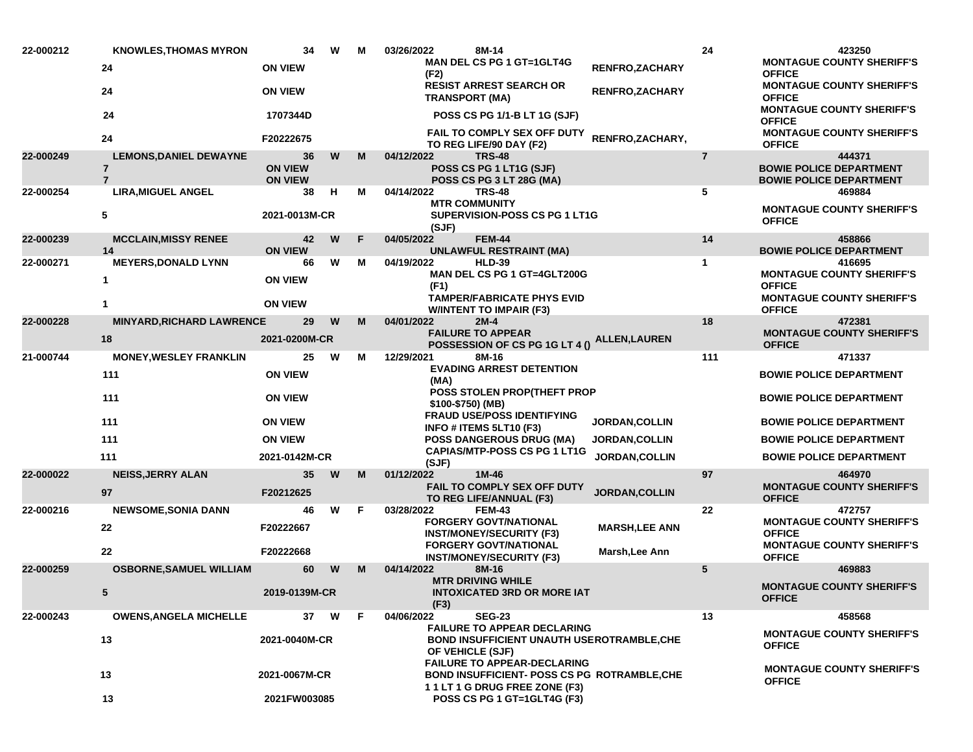| 22-000212 | <b>KNOWLES, THOMAS MYRON</b>                                      | 34                                     | W | м | 03/26/2022<br>8M-14                                                                                                       |                        | 24             | 423250                                                                     |
|-----------|-------------------------------------------------------------------|----------------------------------------|---|---|---------------------------------------------------------------------------------------------------------------------------|------------------------|----------------|----------------------------------------------------------------------------|
|           | 24                                                                | <b>ON VIEW</b>                         |   |   | <b>MAN DEL CS PG 1 GT=1GLT4G</b><br>(F2)                                                                                  | <b>RENFRO,ZACHARY</b>  |                | <b>MONTAGUE COUNTY SHERIFF'S</b><br><b>OFFICE</b>                          |
|           | 24                                                                | <b>ON VIEW</b>                         |   |   | <b>RESIST ARREST SEARCH OR</b><br><b>TRANSPORT (MA)</b>                                                                   | <b>RENFRO, ZACHARY</b> |                | <b>MONTAGUE COUNTY SHERIFF'S</b><br><b>OFFICE</b>                          |
|           | 24                                                                | 1707344D                               |   |   | POSS CS PG 1/1-B LT 1G (SJF)                                                                                              |                        |                | <b>MONTAGUE COUNTY SHERIFF'S</b><br><b>OFFICE</b>                          |
|           | 24                                                                | F20222675                              |   |   | <b>FAIL TO COMPLY SEX OFF DUTY</b><br>TO REG LIFE/90 DAY (F2)                                                             | RENFRO, ZACHARY,       |                | <b>MONTAGUE COUNTY SHERIFF'S</b><br><b>OFFICE</b>                          |
| 22-000249 | <b>LEMONS, DANIEL DEWAYNE</b><br>$\overline{7}$<br>$\overline{7}$ | 36<br><b>ON VIEW</b><br><b>ON VIEW</b> | W | M | 04/12/2022<br><b>TRS-48</b><br>POSS CS PG 1 LT1G (SJF)<br>POSS CS PG 3 LT 28G (MA)                                        |                        | $\overline{7}$ | 444371<br><b>BOWIE POLICE DEPARTMENT</b><br><b>BOWIE POLICE DEPARTMENT</b> |
| 22-000254 | <b>LIRA, MIGUEL ANGEL</b><br>5                                    | 38<br>2021-0013M-CR                    | н | м | 04/14/2022<br><b>TRS-48</b><br><b>MTR COMMUNITY</b><br>SUPERVISION-POSS CS PG 1 LT1G<br>(SJF)                             |                        | 5              | 469884<br><b>MONTAGUE COUNTY SHERIFF'S</b><br><b>OFFICE</b>                |
| 22-000239 | <b>MCCLAIN,MISSY RENEE</b>                                        | 42                                     | W | F | <b>FEM-44</b><br>04/05/2022                                                                                               |                        | 14             | 458866                                                                     |
| 22-000271 | 14<br><b>MEYERS, DONALD LYNN</b>                                  | <b>ON VIEW</b><br>66                   | W | м | <b>UNLAWFUL RESTRAINT (MA)</b><br>04/19/2022<br><b>HLD-39</b>                                                             |                        | $\mathbf{1}$   | <b>BOWIE POLICE DEPARTMENT</b><br>416695                                   |
|           | 1                                                                 | <b>ON VIEW</b>                         |   |   | MAN DEL CS PG 1 GT=4GLT200G<br>(F1)                                                                                       |                        |                | <b>MONTAGUE COUNTY SHERIFF'S</b><br><b>OFFICE</b>                          |
|           | 1                                                                 | <b>ON VIEW</b>                         |   |   | <b>TAMPER/FABRICATE PHYS EVID</b><br><b>W/INTENT TO IMPAIR (F3)</b>                                                       |                        |                | <b>MONTAGUE COUNTY SHERIFF'S</b><br><b>OFFICE</b>                          |
| 22-000228 | <b>MINYARD, RICHARD LAWRENCE</b>                                  | 29                                     | W | M | 04/01/2022<br>$2M-4$                                                                                                      |                        | 18             | 472381                                                                     |
|           | 18                                                                | 2021-0200M-CR                          |   |   | <b>FAILURE TO APPEAR</b><br>POSSESSION OF CS PG 1G LT 4 ()                                                                | <b>ALLEN,LAUREN</b>    |                | <b>MONTAGUE COUNTY SHERIFF'S</b><br><b>OFFICE</b>                          |
| 21-000744 | <b>MONEY, WESLEY FRANKLIN</b>                                     | 25                                     | W | м | 12/29/2021<br>8M-16                                                                                                       |                        | 111            | 471337                                                                     |
|           | 111                                                               | <b>ON VIEW</b>                         |   |   | <b>EVADING ARREST DETENTION</b><br>(MA)                                                                                   |                        |                | <b>BOWIE POLICE DEPARTMENT</b>                                             |
|           | 111                                                               | <b>ON VIEW</b>                         |   |   | <b>POSS STOLEN PROP(THEFT PROP</b><br>\$100-\$750) (MB)                                                                   |                        |                | <b>BOWIE POLICE DEPARTMENT</b>                                             |
|           | 111                                                               | <b>ON VIEW</b>                         |   |   | <b>FRAUD USE/POSS IDENTIFYING</b><br>INFO # ITEMS 5LT10 (F3)                                                              | <b>JORDAN, COLLIN</b>  |                | <b>BOWIE POLICE DEPARTMENT</b>                                             |
|           | 111                                                               | <b>ON VIEW</b>                         |   |   | <b>POSS DANGEROUS DRUG (MA)</b>                                                                                           | <b>JORDAN,COLLIN</b>   |                | <b>BOWIE POLICE DEPARTMENT</b>                                             |
|           | 111                                                               | 2021-0142M-CR                          |   |   | <b>CAPIAS/MTP-POSS CS PG 1 LT1G</b><br>(SJF)                                                                              | <b>JORDAN, COLLIN</b>  |                | <b>BOWIE POLICE DEPARTMENT</b>                                             |
| 22-000022 | <b>NEISS, JERRY ALAN</b><br>97                                    | 35<br>F20212625                        | W | M | 01/12/2022<br>$1M-46$<br><b>FAIL TO COMPLY SEX OFF DUTY</b><br>TO REG LIFE/ANNUAL (F3)                                    | <b>JORDAN, COLLIN</b>  | 97             | 464970<br><b>MONTAGUE COUNTY SHERIFF'S</b><br><b>OFFICE</b>                |
| 22-000216 | <b>NEWSOME, SONIA DANN</b>                                        | 46                                     | W | F | 03/28/2022<br><b>FEM-43</b>                                                                                               |                        | 22             | 472757                                                                     |
|           | 22                                                                | F20222667                              |   |   | <b>FORGERY GOVT/NATIONAL</b><br><b>INST/MONEY/SECURITY (F3)</b>                                                           | <b>MARSH, LEE ANN</b>  |                | <b>MONTAGUE COUNTY SHERIFF'S</b><br><b>OFFICE</b>                          |
|           | 22                                                                | F20222668                              |   |   | <b>FORGERY GOVT/NATIONAL</b><br><b>INST/MONEY/SECURITY (F3)</b>                                                           | Marsh, Lee Ann         |                | <b>MONTAGUE COUNTY SHERIFF'S</b><br><b>OFFICE</b>                          |
| 22-000259 | <b>OSBORNE, SAMUEL WILLIAM</b>                                    | 60                                     | W | M | 04/14/2022<br>8M-16<br><b>MTR DRIVING WHILE</b>                                                                           |                        | 5              | 469883<br><b>MONTAGUE COUNTY SHERIFF'S</b>                                 |
|           | 5                                                                 | 2019-0139M-CR                          |   |   | <b>INTOXICATED 3RD OR MORE IAT</b><br>(F3)                                                                                |                        |                | <b>OFFICE</b>                                                              |
| 22-000243 | <b>OWENS, ANGELA MICHELLE</b>                                     | 37                                     | W | F | 04/06/2022<br><b>SEG-23</b>                                                                                               |                        | 13             | 458568                                                                     |
|           | 13                                                                | 2021-0040M-CR                          |   |   | <b>FAILURE TO APPEAR DECLARING</b><br><b>BOND INSUFFICIENT UNAUTH USEROTRAMBLE, CHE</b><br>OF VEHICLE (SJF)               |                        |                | <b>MONTAGUE COUNTY SHERIFF'S</b><br><b>OFFICE</b>                          |
|           | 13                                                                | 2021-0067M-CR                          |   |   | <b>FAILURE TO APPEAR-DECLARING</b><br><b>BOND INSUFFICIENT- POSS CS PG ROTRAMBLE, CHE</b><br>11LT 1 G DRUG FREE ZONE (F3) |                        |                | <b>MONTAGUE COUNTY SHERIFF'S</b><br><b>OFFICE</b>                          |
|           | 13                                                                | 2021FW003085                           |   |   | POSS CS PG 1 GT=1GLT4G (F3)                                                                                               |                        |                |                                                                            |